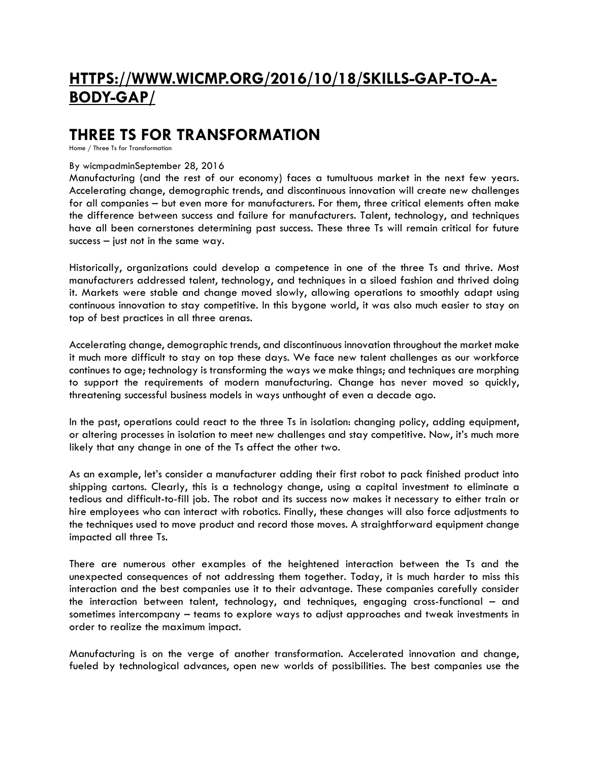# **[HTTPS://WWW.WICMP.ORG/2016/10/18/SKILLS-GAP-TO-A-](https://www.wicmp.org/2016/10/18/skills-gap-to-a-body-gap/)[BODY-GAP/](https://www.wicmp.org/2016/10/18/skills-gap-to-a-body-gap/)**

### **THREE TS FOR TRANSFORMATION**

[Home](https://www.wicmp.org/) / Three Ts for Transformation

#### By [wicmpadmin](https://www.wicmp.org/author/wicmpadmin/)[September](https://www.wicmp.org/2016/09/28/three-ts-for-transformation/) 28, 2016

Manufacturing (and the rest of our economy) faces a tumultuous market in the next few years. Accelerating change, demographic trends, and discontinuous innovation will create new challenges for all companies – but even more for manufacturers. For them, three critical elements often make the difference between success and failure for manufacturers. Talent, technology, and techniques have all been cornerstones determining past success. These three Ts will remain critical for future success  $-$  just not in the same way.

Historically, organizations could develop a competence in one of the three Ts and thrive. Most manufacturers addressed talent, technology, and techniques in a siloed fashion and thrived doing it. Markets were stable and change moved slowly, allowing operations to smoothly adapt using continuous innovation to stay competitive. In this bygone world, it was also much easier to stay on top of best practices in all three arenas.

Accelerating change, demographic trends, and discontinuous innovation throughout the market make it much more difficult to stay on top these days. We face new talent challenges as our workforce continues to age; technology is transforming the ways we make things; and techniques are morphing to support the requirements of modern manufacturing. Change has never moved so quickly, threatening successful business models in ways unthought of even a decade ago.

In the past, operations could react to the three Ts in isolation: changing policy, adding equipment, or altering processes in isolation to meet new challenges and stay competitive. Now, it's much more likely that any change in one of the Ts affect the other two.

As an example, let's consider a manufacturer adding their first robot to pack finished product into shipping cartons. Clearly, this is a technology change, using a capital investment to eliminate a tedious and difficult-to-fill job. The robot and its success now makes it necessary to either train or hire employees who can interact with robotics. Finally, these changes will also force adjustments to the techniques used to move product and record those moves. A straightforward equipment change impacted all three Ts.

There are numerous other examples of the heightened interaction between the Ts and the unexpected consequences of not addressing them together. Today, it is much harder to miss this interaction and the best companies use it to their advantage. These companies carefully consider the interaction between talent, technology, and techniques, engaging cross-functional – and sometimes intercompany – teams to explore ways to adjust approaches and tweak investments in order to realize the maximum impact.

Manufacturing is on the verge of another transformation. Accelerated innovation and change, fueled by technological advances, open new worlds of possibilities. The best companies use the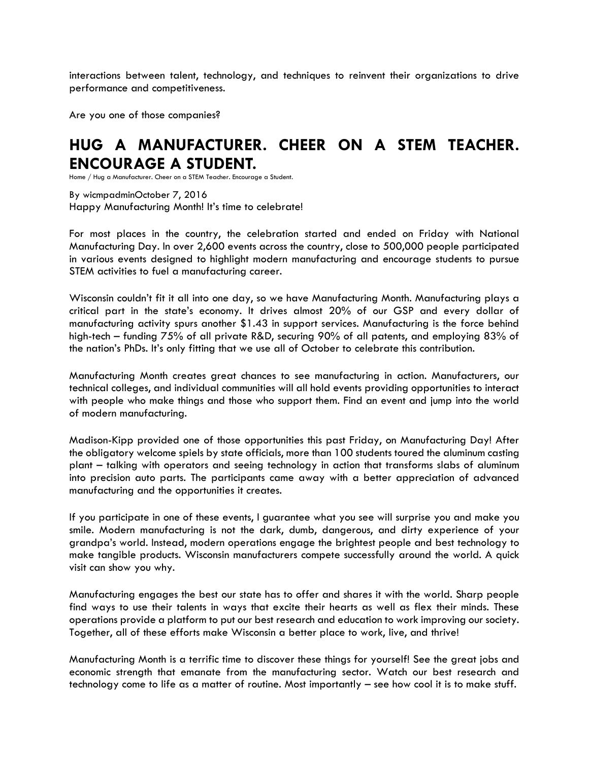interactions between talent, technology, and techniques to reinvent their organizations to drive performance and competitiveness.

Are you one of those companies?

## **HUG A MANUFACTURER. CHEER ON A STEM TEACHER. ENCOURAGE A STUDENT.**

[Home](https://www.wicmp.org/) / Hug a Manufacturer. Cheer on a STEM Teacher. Encourage a Student.

By [wicmpadmin](https://www.wicmp.org/author/wicmpadmin/)[October](https://www.wicmp.org/2016/10/07/hug-a-manufacturer-cheer-on-a-stem-teacher-encourage-a-student/) 7, 2016 Happy Manufacturing Month! It's time to celebrate!

For most places in the country, the celebration started and ended on Friday with National Manufacturing Day. In over 2,600 events across the country, close to 500,000 people participated in various events designed to highlight modern manufacturing and encourage students to pursue STEM activities to fuel a manufacturing career.

Wisconsin couldn't fit it all into one day, so we have Manufacturing Month. Manufacturing plays a critical part in the state's economy. It drives almost 20% of our GSP and every dollar of manufacturing activity spurs another \$1.43 in support services. Manufacturing is the force behind high-tech – funding 75% of all private R&D, securing 90% of all patents, and employing 83% of the nation's PhDs. It's only fitting that we use all of October to celebrate this contribution.

Manufacturing Month creates great chances to see manufacturing in action. Manufacturers, our technical colleges, and individual communities will all hold events providing opportunities to interact with people who make things and those who support them. Find an event and jump into the world of modern manufacturing.

Madison-Kipp provided one of those opportunities this past Friday, on Manufacturing Day! After the obligatory welcome spiels by state officials, more than 100 students toured the aluminum casting plant – talking with operators and seeing technology in action that transforms slabs of aluminum into precision auto parts. The participants came away with a better appreciation of advanced manufacturing and the opportunities it creates.

If you participate in one of these events, I guarantee what you see will surprise you and make you smile. Modern manufacturing is not the dark, dumb, dangerous, and dirty experience of your grandpa's world. Instead, modern operations engage the brightest people and best technology to make tangible products. Wisconsin manufacturers compete successfully around the world. A quick visit can show you why.

Manufacturing engages the best our state has to offer and shares it with the world. Sharp people find ways to use their talents in ways that excite their hearts as well as flex their minds. These operations provide a platform to put our best research and education to work improving our society. Together, all of these efforts make Wisconsin a better place to work, live, and thrive!

Manufacturing Month is a terrific time to discover these things for yourself! See the great jobs and economic strength that emanate from the manufacturing sector. Watch our best research and technology come to life as a matter of routine. Most importantly – see how cool it is to make stuff.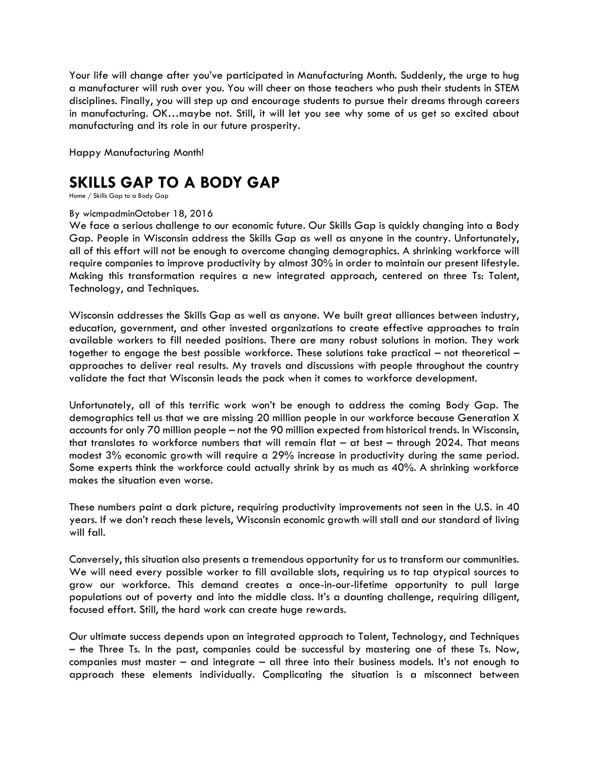Your life will change after you've participated in Manufacturing Month. Suddenly, the urge to hug a manufacturer will rush over you. You will cheer on those teachers who push their students in STEM disciplines. Finally, you will step up and encourage students to pursue their dreams through careers in manufacturing. OK…maybe not. Still, it will let you see why some of us get so excited about manufacturing and its role in our future prosperity.

Happy Manufacturing Month!

## **SKILLS GAP TO A BODY GAP**

[Home](https://www.wicmp.org/) / Skills Gap to a Body Gap

#### By [wicmpadmin](https://www.wicmp.org/author/wicmpadmin/)[October](https://www.wicmp.org/2016/10/18/skills-gap-to-a-body-gap/) 18, 2016

We face a serious challenge to our economic future. Our Skills Gap is quickly changing into a Body Gap. People in Wisconsin address the Skills Gap as well as anyone in the country. Unfortunately, all of this effort will not be enough to overcome changing demographics. A shrinking workforce will require companies to improve productivity by almost 30% in order to maintain our present lifestyle. Making this transformation requires a new integrated approach, centered on three Ts: Talent, Technology, and Techniques.

Wisconsin addresses the Skills Gap as well as anyone. We built great alliances between industry, education, government, and other invested organizations to create effective approaches to train available workers to fill needed positions. There are many robust solutions in motion. They work together to engage the best possible workforce. These solutions take practical – not theoretical – approaches to deliver real results. My travels and discussions with people throughout the country validate the fact that Wisconsin leads the pack when it comes to workforce development.

Unfortunately, all of this terrific work won't be enough to address the coming Body Gap. The demographics tell us that we are missing 20 million people in our workforce because Generation X accounts for only 70 million people – not the 90 million expected from historical trends. In Wisconsin, that translates to workforce numbers that will remain flat – at best – through 2024. That means modest 3% economic growth will require a 29% increase in productivity during the same period. Some experts think the workforce could actually shrink by as much as 40%. A shrinking workforce makes the situation even worse.

These numbers paint a dark picture, requiring productivity improvements not seen in the U.S. in 40 years. If we don't reach these levels, Wisconsin economic growth will stall and our standard of living will fall.

Conversely, this situation also presents a tremendous opportunity for us to transform our communities. We will need every possible worker to fill available slots, requiring us to tap atypical sources to grow our workforce. This demand creates a once-in-our-lifetime opportunity to pull large populations out of poverty and into the middle class. It's a daunting challenge, requiring diligent, focused effort. Still, the hard work can create huge rewards.

Our ultimate success depends upon an integrated approach to Talent, Technology, and Techniques – the Three Ts. In the past, companies could be successful by mastering one of these Ts. Now, companies must master – and integrate – all three into their business models. It's not enough to approach these elements individually. Complicating the situation is a misconnect between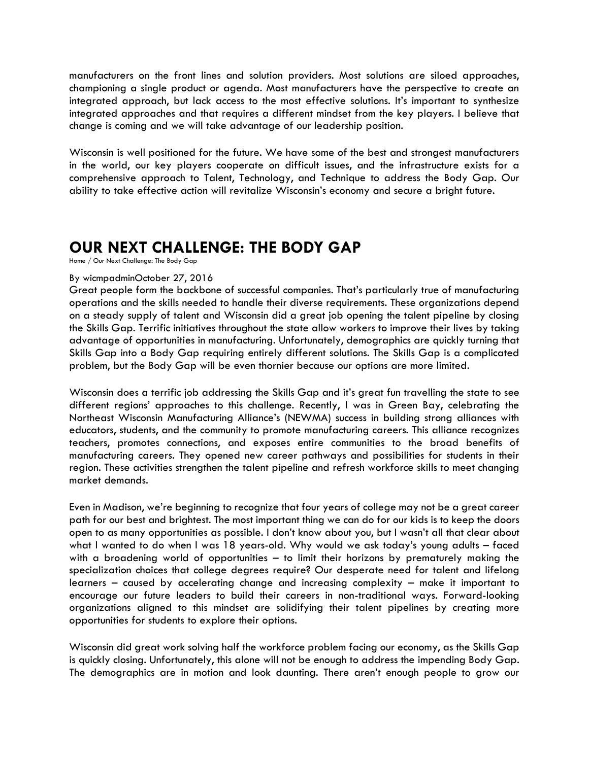manufacturers on the front lines and solution providers. Most solutions are siloed approaches, championing a single product or agenda. Most manufacturers have the perspective to create an integrated approach, but lack access to the most effective solutions. It's important to synthesize integrated approaches and that requires a different mindset from the key players. I believe that change is coming and we will take advantage of our leadership position.

Wisconsin is well positioned for the future. We have some of the best and strongest manufacturers in the world, our key players cooperate on difficult issues, and the infrastructure exists for a comprehensive approach to Talent, Technology, and Technique to address the Body Gap. Our ability to take effective action will revitalize Wisconsin's economy and secure a bright future.

### **OUR NEXT CHALLENGE: THE BODY GAP**

[Home](https://www.wicmp.org/) / Our Next Challenge: The Body Gap

#### By [wicmpadmin](https://www.wicmp.org/author/wicmpadmin/)[October](https://www.wicmp.org/2016/10/27/our-next-challenge-the-body-gap/) 27, 2016

Great people form the backbone of successful companies. That's particularly true of manufacturing operations and the skills needed to handle their diverse requirements. These organizations depend on a steady supply of talent and Wisconsin did a great job opening the talent pipeline by closing the Skills Gap. Terrific initiatives throughout the state allow workers to improve their lives by taking advantage of opportunities in manufacturing. Unfortunately, demographics are quickly turning that Skills Gap into a Body Gap requiring entirely different solutions. The Skills Gap is a complicated problem, but the Body Gap will be even thornier because our options are more limited.

Wisconsin does a terrific job addressing the Skills Gap and it's great fun travelling the state to see different regions' approaches to this challenge. Recently, I was in Green Bay, celebrating the Northeast Wisconsin Manufacturing Alliance's (NEWMA) success in building strong alliances with educators, students, and the community to promote manufacturing careers. This alliance recognizes teachers, promotes connections, and exposes entire communities to the broad benefits of manufacturing careers. They opened new career pathways and possibilities for students in their region. These activities strengthen the talent pipeline and refresh workforce skills to meet changing market demands.

Even in Madison, we're beginning to recognize that four years of college may not be a great career path for our best and brightest. The most important thing we can do for our kids is to keep the doors open to as many opportunities as possible. I don't know about you, but I wasn't all that clear about what I wanted to do when I was 18 years-old. Why would we ask today's young adults – faced with a broadening world of opportunities – to limit their horizons by prematurely making the specialization choices that college degrees require? Our desperate need for talent and lifelong learners – caused by accelerating change and increasing complexity – make it important to encourage our future leaders to build their careers in non-traditional ways. Forward-looking organizations aligned to this mindset are solidifying their talent pipelines by creating more opportunities for students to explore their options.

Wisconsin did great work solving half the workforce problem facing our economy, as the Skills Gap is quickly closing. Unfortunately, this alone will not be enough to address the impending Body Gap. The demographics are in motion and look daunting. There aren't enough people to grow our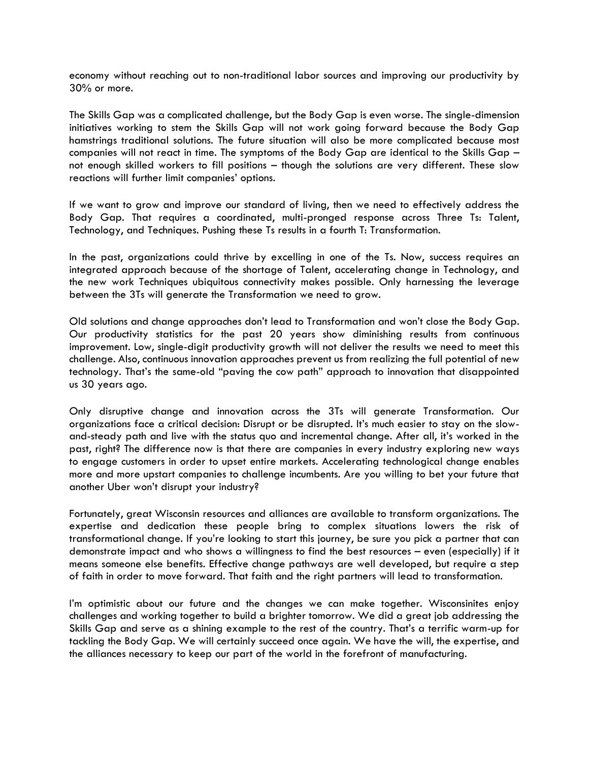economy without reaching out to non-traditional labor sources and improving our productivity by 30% or more.

The Skills Gap was a complicated challenge, but the Body Gap is even worse. The single-dimension initiatives working to stem the Skills Gap will not work going forward because the Body Gap hamstrings traditional solutions. The future situation will also be more complicated because most companies will not react in time. The symptoms of the Body Gap are identical to the Skills Gap – not enough skilled workers to fill positions – though the solutions are very different. These slow reactions will further limit companies' options.

If we want to grow and improve our standard of living, then we need to effectively address the Body Gap. That requires a coordinated, multi-pronged response across Three Ts: Talent, Technology, and Techniques. Pushing these Ts results in a fourth T: Transformation.

In the past, organizations could thrive by excelling in one of the Ts. Now, success requires an integrated approach because of the shortage of Talent, accelerating change in Technology, and the new work Techniques ubiquitous connectivity makes possible. Only harnessing the leverage between the 3Ts will generate the Transformation we need to grow.

Old solutions and change approaches don't lead to Transformation and won't close the Body Gap. Our productivity statistics for the past 20 years show diminishing results from continuous improvement. Low, single-digit productivity growth will not deliver the results we need to meet this challenge. Also, continuous innovation approaches prevent us from realizing the full potential of new technology. That's the same-old "paving the cow path" approach to innovation that disappointed us 30 years ago.

Only disruptive change and innovation across the 3Ts will generate Transformation. Our organizations face a critical decision: Disrupt or be disrupted. It's much easier to stay on the slowand-steady path and live with the status quo and incremental change. After all, it's worked in the past, right? The difference now is that there are companies in every industry exploring new ways to engage customers in order to upset entire markets. Accelerating technological change enables more and more upstart companies to challenge incumbents. Are you willing to bet your future that another Uber won't disrupt your industry?

Fortunately, great Wisconsin resources and alliances are available to transform organizations. The expertise and dedication these people bring to complex situations lowers the risk of transformational change. If you're looking to start this journey, be sure you pick a partner that can demonstrate impact and who shows a willingness to find the best resources – even (especially) if it means someone else benefits. Effective change pathways are well developed, but require a step of faith in order to move forward. That faith and the right partners will lead to transformation.

I'm optimistic about our future and the changes we can make together. Wisconsinites enjoy challenges and working together to build a brighter tomorrow. We did a great job addressing the Skills Gap and serve as a shining example to the rest of the country. That's a terrific warm-up for tackling the Body Gap. We will certainly succeed once again. We have the will, the expertise, and the alliances necessary to keep our part of the world in the forefront of manufacturing.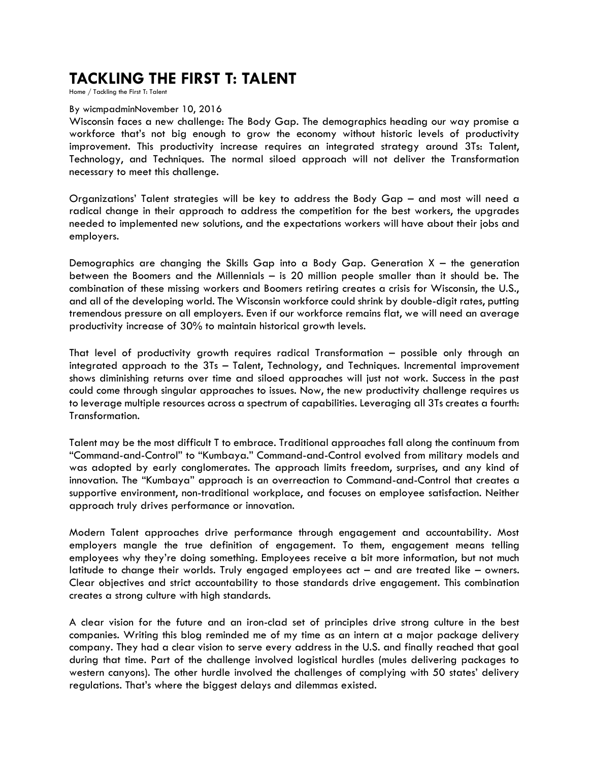### **TACKLING THE FIRST T: TALENT**

[Home](https://www.wicmp.org/) / Tackling the First T: Talent

#### By [wicmpadmin](https://www.wicmp.org/author/wicmpadmin/)[November](https://www.wicmp.org/2016/11/10/tackling-the-first-t-talent/) 10, 2016

Wisconsin faces a new challenge: The Body Gap. The demographics heading our way promise a workforce that's not big enough to grow the economy without historic levels of productivity improvement. This productivity increase requires an integrated strategy around 3Ts: Talent, Technology, and Techniques. The normal siloed approach will not deliver the Transformation necessary to meet this challenge.

Organizations' Talent strategies will be key to address the Body Gap – and most will need a radical change in their approach to address the competition for the best workers, the upgrades needed to implemented new solutions, and the expectations workers will have about their jobs and employers.

Demographics are changing the Skills Gap into a Body Gap. Generation  $X -$  the generation between the Boomers and the Millennials – is 20 million people smaller than it should be. The combination of these missing workers and Boomers retiring creates a crisis for Wisconsin, the U.S., and all of the developing world. The Wisconsin workforce could shrink by double-digit rates, putting tremendous pressure on all employers. Even if our workforce remains flat, we will need an average productivity increase of 30% to maintain historical growth levels.

That level of productivity growth requires radical Transformation – possible only through an integrated approach to the 3Ts – Talent, Technology, and Techniques. Incremental improvement shows diminishing returns over time and siloed approaches will just not work. Success in the past could come through singular approaches to issues. Now, the new productivity challenge requires us to leverage multiple resources across a spectrum of capabilities. Leveraging all 3Ts creates a fourth: Transformation.

Talent may be the most difficult T to embrace. Traditional approaches fall along the continuum from "Command-and-Control" to "Kumbaya." Command-and-Control evolved from military models and was adopted by early conglomerates. The approach limits freedom, surprises, and any kind of innovation. The "Kumbaya" approach is an overreaction to Command-and-Control that creates a supportive environment, non-traditional workplace, and focuses on employee satisfaction. Neither approach truly drives performance or innovation.

Modern Talent approaches drive performance through engagement and accountability. Most employers mangle the true definition of engagement. To them, engagement means telling employees why they're doing something. Employees receive a bit more information, but not much latitude to change their worlds. Truly engaged employees act – and are treated like – owners. Clear objectives and strict accountability to those standards drive engagement. This combination creates a strong culture with high standards.

A clear vision for the future and an iron-clad set of principles drive strong culture in the best companies. Writing this blog reminded me of my time as an intern at a major package delivery company. They had a clear vision to serve every address in the U.S. and finally reached that goal during that time. Part of the challenge involved logistical hurdles (mules delivering packages to western canyons). The other hurdle involved the challenges of complying with 50 states' delivery regulations. That's where the biggest delays and dilemmas existed.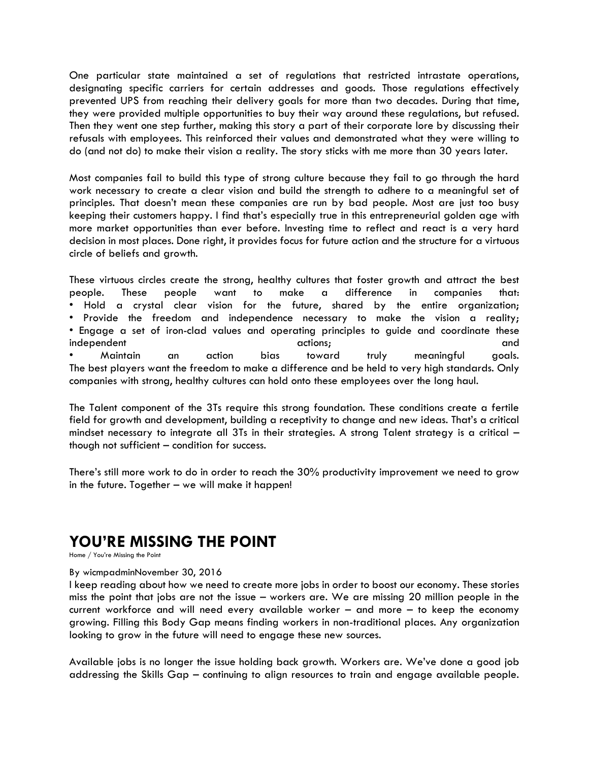One particular state maintained a set of regulations that restricted intrastate operations, designating specific carriers for certain addresses and goods. Those regulations effectively prevented UPS from reaching their delivery goals for more than two decades. During that time, they were provided multiple opportunities to buy their way around these regulations, but refused. Then they went one step further, making this story a part of their corporate lore by discussing their refusals with employees. This reinforced their values and demonstrated what they were willing to do (and not do) to make their vision a reality. The story sticks with me more than 30 years later.

Most companies fail to build this type of strong culture because they fail to go through the hard work necessary to create a clear vision and build the strength to adhere to a meaningful set of principles. That doesn't mean these companies are run by bad people. Most are just too busy keeping their customers happy. I find that's especially true in this entrepreneurial golden age with more market opportunities than ever before. Investing time to reflect and react is a very hard decision in most places. Done right, it provides focus for future action and the structure for a virtuous circle of beliefs and growth.

These virtuous circles create the strong, healthy cultures that foster growth and attract the best people. These people want to make a difference in companies that: • Hold a crystal clear vision for the future, shared by the entire organization; • Provide the freedom and independence necessary to make the vision a reality; • Engage a set of iron-clad values and operating principles to guide and coordinate these independent and actions; and actions; and actions; and actions, and actions, and actions, and actions, and actions, and actions, and actions, and actions, and actions, and actions, and actions, and actions, and actions, an • Maintain an action bias toward truly meaningful goals. The best players want the freedom to make a difference and be held to very high standards. Only companies with strong, healthy cultures can hold onto these employees over the long haul.

The Talent component of the 3Ts require this strong foundation. These conditions create a fertile field for growth and development, building a receptivity to change and new ideas. That's a critical mindset necessary to integrate all 3Ts in their strategies. A strong Talent strategy is a critical – though not sufficient – condition for success.

There's still more work to do in order to reach the 30% productivity improvement we need to grow in the future. Together – we will make it happen!

### **YOU'RE MISSING THE POINT**

[Home](https://www.wicmp.org/) / You're Missing the Point

#### By [wicmpadmin](https://www.wicmp.org/author/wicmpadmin/)[November](https://www.wicmp.org/2016/11/30/youre-missing-the-point/) 30, 2016

I keep reading about how we need to create more jobs in order to boost our economy. These stories miss the point that jobs are not the issue – workers are. We are missing 20 million people in the current workforce and will need every available worker – and more – to keep the economy growing. Filling this Body Gap means finding workers in non-traditional places. Any organization looking to grow in the future will need to engage these new sources.

Available jobs is no longer the issue holding back growth. Workers are. We've done a good job addressing the Skills Gap – continuing to align resources to train and engage available people.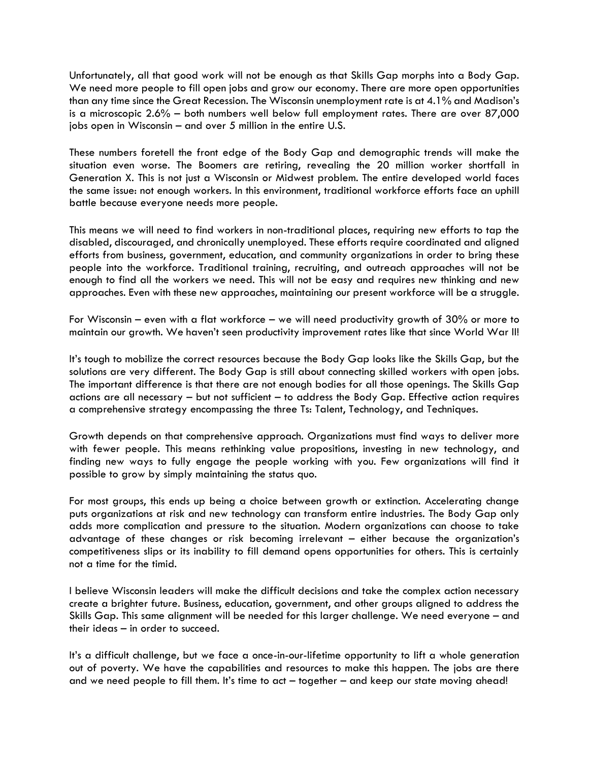Unfortunately, all that good work will not be enough as that Skills Gap morphs into a Body Gap. We need more people to fill open jobs and grow our economy. There are more open opportunities than any time since the Great Recession. The Wisconsin unemployment rate is at 4.1% and Madison's is a microscopic 2.6% – both numbers well below full employment rates. There are over 87,000 jobs open in Wisconsin – and over 5 million in the entire U.S.

These numbers foretell the front edge of the Body Gap and demographic trends will make the situation even worse. The Boomers are retiring, revealing the 20 million worker shortfall in Generation X. This is not just a Wisconsin or Midwest problem. The entire developed world faces the same issue: not enough workers. In this environment, traditional workforce efforts face an uphill battle because everyone needs more people.

This means we will need to find workers in non-traditional places, requiring new efforts to tap the disabled, discouraged, and chronically unemployed. These efforts require coordinated and aligned efforts from business, government, education, and community organizations in order to bring these people into the workforce. Traditional training, recruiting, and outreach approaches will not be enough to find all the workers we need. This will not be easy and requires new thinking and new approaches. Even with these new approaches, maintaining our present workforce will be a struggle.

For Wisconsin – even with a flat workforce – we will need productivity growth of 30% or more to maintain our growth. We haven't seen productivity improvement rates like that since World War II!

It's tough to mobilize the correct resources because the Body Gap looks like the Skills Gap, but the solutions are very different. The Body Gap is still about connecting skilled workers with open jobs. The important difference is that there are not enough bodies for all those openings. The Skills Gap actions are all necessary – but not sufficient – to address the Body Gap. Effective action requires a comprehensive strategy encompassing the three Ts: Talent, Technology, and Techniques.

Growth depends on that comprehensive approach. Organizations must find ways to deliver more with fewer people. This means rethinking value propositions, investing in new technology, and finding new ways to fully engage the people working with you. Few organizations will find it possible to grow by simply maintaining the status quo.

For most groups, this ends up being a choice between growth or extinction. Accelerating change puts organizations at risk and new technology can transform entire industries. The Body Gap only adds more complication and pressure to the situation. Modern organizations can choose to take advantage of these changes or risk becoming irrelevant – either because the organization's competitiveness slips or its inability to fill demand opens opportunities for others. This is certainly not a time for the timid.

I believe Wisconsin leaders will make the difficult decisions and take the complex action necessary create a brighter future. Business, education, government, and other groups aligned to address the Skills Gap. This same alignment will be needed for this larger challenge. We need everyone – and their ideas – in order to succeed.

It's a difficult challenge, but we face a once-in-our-lifetime opportunity to lift a whole generation out of poverty. We have the capabilities and resources to make this happen. The jobs are there and we need people to fill them. It's time to act – together – and keep our state moving ahead!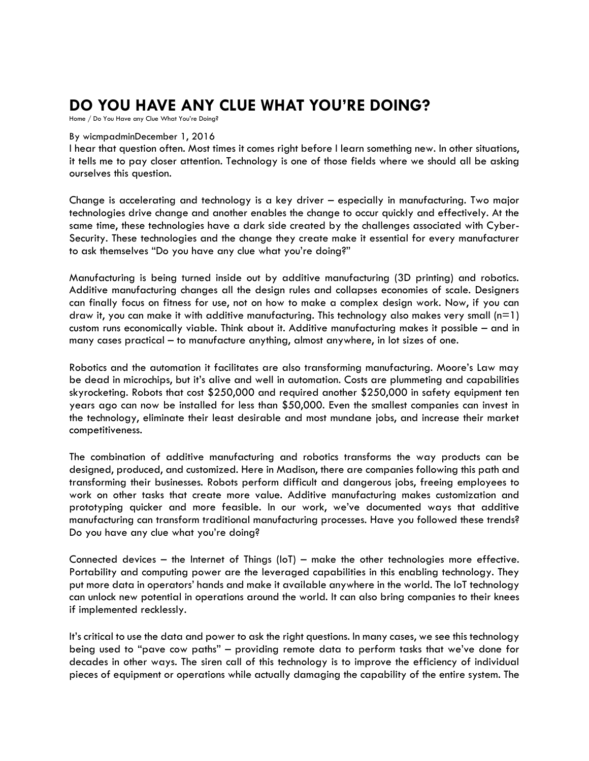# **DO YOU HAVE ANY CLUE WHAT YOU'RE DOING?**

[Home](https://www.wicmp.org/) / Do You Have any Clue What You're Doing?

#### By [wicmpadmin](https://www.wicmp.org/author/wicmpadmin/)[December](https://www.wicmp.org/2016/12/01/do-you-have-any-clue-what-youre-doing/) 1, 2016

I hear that question often. Most times it comes right before I learn something new. In other situations, it tells me to pay closer attention. Technology is one of those fields where we should all be asking ourselves this question.

Change is accelerating and technology is a key driver – especially in manufacturing. Two major technologies drive change and another enables the change to occur quickly and effectively. At the same time, these technologies have a dark side created by the challenges associated with Cyber-Security. These technologies and the change they create make it essential for every manufacturer to ask themselves "Do you have any clue what you're doing?"

Manufacturing is being turned inside out by additive manufacturing (3D printing) and robotics. Additive manufacturing changes all the design rules and collapses economies of scale. Designers can finally focus on fitness for use, not on how to make a complex design work. Now, if you can draw it, you can make it with additive manufacturing. This technology also makes very small  $(n=1)$ custom runs economically viable. Think about it. Additive manufacturing makes it possible – and in many cases practical – to manufacture anything, almost anywhere, in lot sizes of one.

Robotics and the automation it facilitates are also transforming manufacturing. Moore's Law may be dead in microchips, but it's alive and well in automation. Costs are plummeting and capabilities skyrocketing. Robots that cost \$250,000 and required another \$250,000 in safety equipment ten years ago can now be installed for less than \$50,000. Even the smallest companies can invest in the technology, eliminate their least desirable and most mundane jobs, and increase their market competitiveness.

The combination of additive manufacturing and robotics transforms the way products can be designed, produced, and customized. Here in Madison, there are companies following this path and transforming their businesses. Robots perform difficult and dangerous jobs, freeing employees to work on other tasks that create more value. Additive manufacturing makes customization and prototyping quicker and more feasible. In our work, we've documented ways that additive manufacturing can transform traditional manufacturing processes. Have you followed these trends? Do you have any clue what you're doing?

Connected devices – the Internet of Things (IoT) – make the other technologies more effective. Portability and computing power are the leveraged capabilities in this enabling technology. They put more data in operators' hands and make it available anywhere in the world. The IoT technology can unlock new potential in operations around the world. It can also bring companies to their knees if implemented recklessly.

It's critical to use the data and power to ask the right questions. In many cases, we see this technology being used to "pave cow paths" – providing remote data to perform tasks that we've done for decades in other ways. The siren call of this technology is to improve the efficiency of individual pieces of equipment or operations while actually damaging the capability of the entire system. The